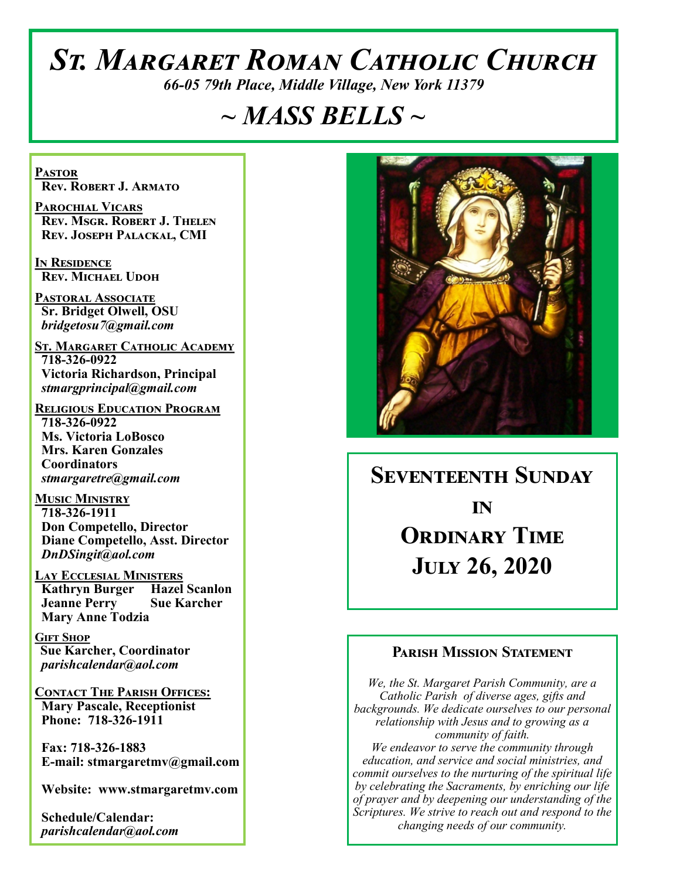# *St. Margaret Roman Catholic Church*

*66-05 79th Place, Middle Village, New York 11379*

## *~ MASS BELLS ~*

**Pastor Rev. Robert J. Armato**

**Parochial Vicars Rev. Msgr. Robert J. Thelen Rev. Joseph Palackal, CMI**

**In Residence Rev. Michael Udoh**

**Pastoral Associate Sr. Bridget Olwell, OSU**  *bridgetosu7@gmail.com*

**St. Margaret Catholic Academy 718-326-0922 Victoria Richardson, Principal**  *stmargprincipal@gmail.com*

**Religious Education Program 718-326-0922 Ms. Victoria LoBosco Mrs. Karen Gonzales Coordinators** *stmargaretre@gmail.com*

**Music Ministry 718-326-1911 Don Competello, Director Diane Competello, Asst. Director** *DnDSingit@aol.com*

**Lay Ecclesial Ministers Kathryn Burger Hazel Scanlon Jeanne Perry Sue Karcher Mary Anne Todzia**

**Gift Shop Sue Karcher, Coordinator** *parishcalendar@aol.com*

**Contact The Parish Offices: Mary Pascale, Receptionist Phone: 718-326-1911** 

 **Fax: 718-326-1883 E-mail: stmargaretmv@gmail.com**

 **Website: www.stmargaretmv.com**

 **Schedule/Calendar:** *parishcalendar@aol.com* 



**Seventeenth Sunday in Ordinary Time July 26, 2020** 

#### **Parish Mission Statement**

*We, the St. Margaret Parish Community, are a Catholic Parish of diverse ages, gifts and backgrounds. We dedicate ourselves to our personal relationship with Jesus and to growing as a community of faith. We endeavor to serve the community through education, and service and social ministries, and commit ourselves to the nurturing of the spiritual life by celebrating the Sacraments, by enriching our life of prayer and by deepening our understanding of the Scriptures. We strive to reach out and respond to the changing needs of our community.*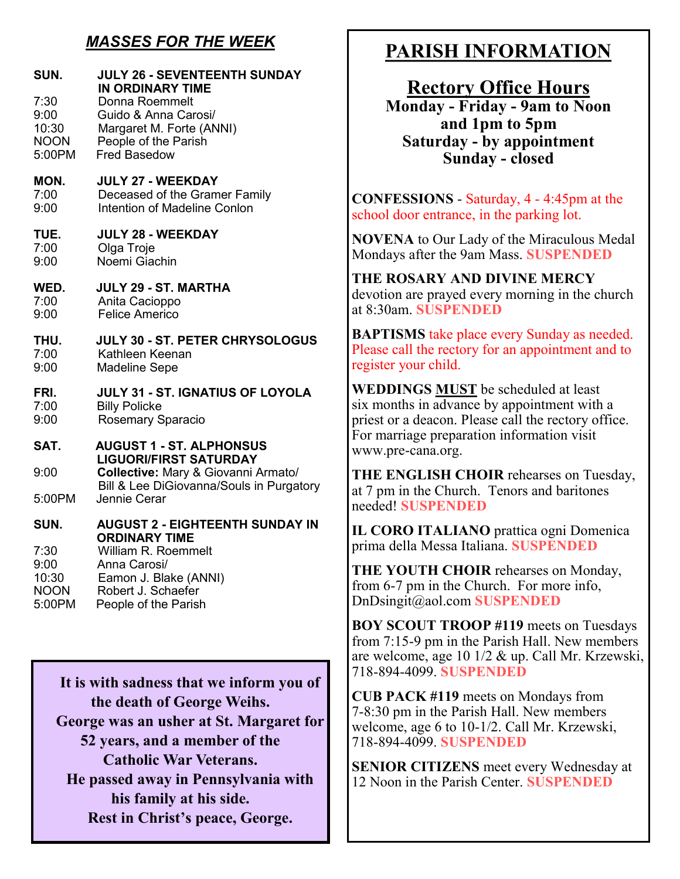## *MASSES FOR THE WEEK*

| SUN.<br>7:30<br>9:00<br>10:30<br><b>NOON</b><br>5:00PM | JULY 26 - SEVENTEENTH SUNDAY<br><b>IN ORDINARY TIME</b><br>Donna Roemmelt<br>Guido & Anna Carosi/<br>Margaret M. Forte (ANNI)<br>People of the Parish<br><b>Fred Basedow</b> |
|--------------------------------------------------------|------------------------------------------------------------------------------------------------------------------------------------------------------------------------------|
| MON.                                                   | <b>JULY 27 - WEEKDAY</b>                                                                                                                                                     |
| 7:00                                                   | Deceased of the Gramer Family                                                                                                                                                |
| 9:00                                                   | Intention of Madeline Conlon                                                                                                                                                 |
| TUE.                                                   | <b>JULY 28 - WEEKDAY</b>                                                                                                                                                     |
| 7:00                                                   | Olga Troje                                                                                                                                                                   |
| 9:00                                                   | Noemi Giachin                                                                                                                                                                |
| WED.                                                   | JULY 29 - ST. MARTHA                                                                                                                                                         |
| 7:00                                                   | Anita Cacioppo                                                                                                                                                               |
| 9:00                                                   | <b>Felice Americo</b>                                                                                                                                                        |
| THU.                                                   | JULY 30 - ST. PETER CHRYSOLOGUS                                                                                                                                              |
| 7:00                                                   | Kathleen Keenan                                                                                                                                                              |
| 9:00                                                   | <b>Madeline Sepe</b>                                                                                                                                                         |
| FRI.                                                   | JULY 31 - ST. IGNATIUS OF LOYOLA                                                                                                                                             |
| 7:00                                                   | <b>Billy Policke</b>                                                                                                                                                         |
| 9:00                                                   | Rosemary Sparacio                                                                                                                                                            |
| SAT.                                                   | <b>AUGUST 1 - ST. ALPHONSUS</b><br><b>LIGUORI/FIRST SATURDAY</b>                                                                                                             |
| 9:00                                                   | Collective: Mary & Giovanni Armato/<br>Bill & Lee DiGiovanna/Souls in Purgatory                                                                                              |
| 5:00PM                                                 | Jennie Cerar                                                                                                                                                                 |
| SUN.                                                   | <b>AUGUST 2 - EIGHTEENTH SUNDAY IN</b><br><b>ORDINARY TIME</b>                                                                                                               |
| 7:30                                                   | William R. Roemmelt                                                                                                                                                          |
| 9:00                                                   | Anna Carosi/                                                                                                                                                                 |
| 10:30                                                  | Eamon J. Blake (ANNI)                                                                                                                                                        |
| <b>NOON</b>                                            | Robert J. Schaefer                                                                                                                                                           |
| 5:00PM                                                 | People of the Parish                                                                                                                                                         |

 **It is with sadness that we inform you of the death of George Weihs. George was an usher at St. Margaret for 52 years, and a member of the Catholic War Veterans. He passed away in Pennsylvania with his family at his side. Rest in Christ's peace, George.**

## **PARISH INFORMATION**

**Rectory Office Hours** 

**Monday - Friday - 9am to Noon and 1pm to 5pm Saturday - by appointment Sunday - closed**

**CONFESSIONS** - Saturday, 4 - 4:45pm at the school door entrance, in the parking lot.

**NOVENA** to Our Lady of the Miraculous Medal Mondays after the 9am Mass. **SUSPENDED**

**THE ROSARY AND DIVINE MERCY** devotion are prayed every morning in the church at 8:30am. **SUSPENDED**

**BAPTISMS** take place every Sunday as needed. Please call the rectory for an appointment and to register your child.

**WEDDINGS MUST** be scheduled at least six months in advance by appointment with a priest or a deacon. Please call the rectory office. For marriage preparation information visit www.pre-cana.org.

**THE ENGLISH CHOIR** rehearses on Tuesday, at 7 pm in the Church. Tenors and baritones needed! **SUSPENDED**

**IL CORO ITALIANO** prattica ogni Domenica prima della Messa Italiana. **SUSPENDED**

**THE YOUTH CHOIR** rehearses on Monday, from 6-7 pm in the Church. For more info, DnDsingit@aol.com **SUSPENDED**

**BOY SCOUT TROOP #119** meets on Tuesdays from 7:15-9 pm in the Parish Hall. New members are welcome, age 10 1/2 & up. Call Mr. Krzewski, 718-894-4099. **SUSPENDED**

**CUB PACK #119** meets on Mondays from 7-8:30 pm in the Parish Hall. New members welcome, age 6 to 10-1/2. Call Mr. Krzewski, 718-894-4099. **SUSPENDED**

**SENIOR CITIZENS** meet every Wednesday at 12 Noon in the Parish Center. **SUSPENDED**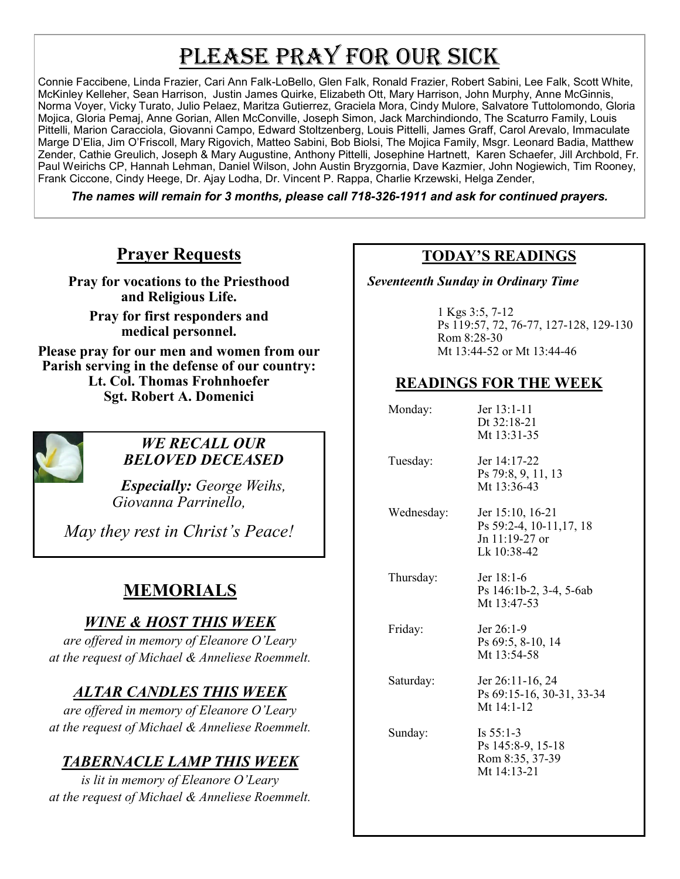# PLEASE PRAY FOR OUR SICK

Connie Faccibene, Linda Frazier, Cari Ann Falk-LoBello, Glen Falk, Ronald Frazier, Robert Sabini, Lee Falk, Scott White, McKinley Kelleher, Sean Harrison, Justin James Quirke, Elizabeth Ott, Mary Harrison, John Murphy, Anne McGinnis, Norma Voyer, Vicky Turato, Julio Pelaez, Maritza Gutierrez, Graciela Mora, Cindy Mulore, Salvatore Tuttolomondo, Gloria Mojica, Gloria Pemaj, Anne Gorian, Allen McConville, Joseph Simon, Jack Marchindiondo, The Scaturro Family, Louis Pittelli, Marion Caracciola, Giovanni Campo, Edward Stoltzenberg, Louis Pittelli, James Graff, Carol Arevalo, Immaculate Marge D'Elia, Jim O'Friscoll, Mary Rigovich, Matteo Sabini, Bob Biolsi, The Mojica Family, Msgr. Leonard Badia, Matthew Zender, Cathie Greulich, Joseph & Mary Augustine, Anthony Pittelli, Josephine Hartnett, Karen Schaefer, Jill Archbold, Fr. Paul Weirichs CP, Hannah Lehman, Daniel Wilson, John Austin Bryzgornia, Dave Kazmier, John Nogiewich, Tim Rooney, Frank Ciccone, Cindy Heege, Dr. Ajay Lodha, Dr. Vincent P. Rappa, Charlie Krzewski, Helga Zender,

*The names will remain for 3 months, please call 718-326-1911 and ask for continued prayers.*

## **Prayer Requests**

**Pray for vocations to the Priesthood and Religious Life.** 

**Pray for first responders and medical personnel.**

**Please pray for our men and women from our Parish serving in the defense of our country: Lt. Col. Thomas Frohnhoefer Sgt. Robert A. Domenici** 



#### *WE RECALL OUR BELOVED DECEASED*

*Especially: George Weihs, Giovanna Parrinello,* 

*May they rest in Christ's Peace!*

## **MEMORIALS**

## *WINE & HOST THIS WEEK*

*are offered in memory of Eleanore O'Leary at the request of Michael & Anneliese Roemmelt.*

## *ALTAR CANDLES THIS WEEK*

*are offered in memory of Eleanore O'Leary at the request of Michael & Anneliese Roemmelt.*

## *TABERNACLE LAMP THIS WEEK*

*is lit in memory of Eleanore O'Leary at the request of Michael & Anneliese Roemmelt.* 

#### **TODAY'S READINGS**

 *Seventeenth Sunday in Ordinary Time*

1 Kgs 3:5, 7-12 Ps 119:57, 72, 76-77, 127-128, 129-130 Rom 8:28-30 Mt 13:44-52 or Mt 13:44-46

### **READINGS FOR THE WEEK**

| Monday:    | Jer 13:1-11<br>Dt 32:18-21<br>Mt 13:31-35                                     |
|------------|-------------------------------------------------------------------------------|
| Tuesday:   | Jer 14:17-22<br>Ps 79:8, 9, 11, 13<br>Mt 13:36-43                             |
| Wednesday: | Jer 15:10, 16-21<br>Ps 59:2-4, 10-11, 17, 18<br>Jn 11:19-27 or<br>Lk 10:38-42 |
| Thursday:  | Jer $18:1-6$<br>Ps 146:1b-2, 3-4, 5-6ab<br>Mt 13:47-53                        |
| Friday:    | Jer 26:1-9<br>Ps 69:5, 8-10, 14<br>Mt 13:54-58                                |
| Saturday:  | Jer 26:11-16, 24<br>Ps 69:15-16, 30-31, 33-34<br>Mt $14:1-12$                 |
| Sunday:    | Is $55:1-3$<br>Ps 145:8-9, 15-18<br>Rom 8:35, 37-39<br>Mt $14:13-21$          |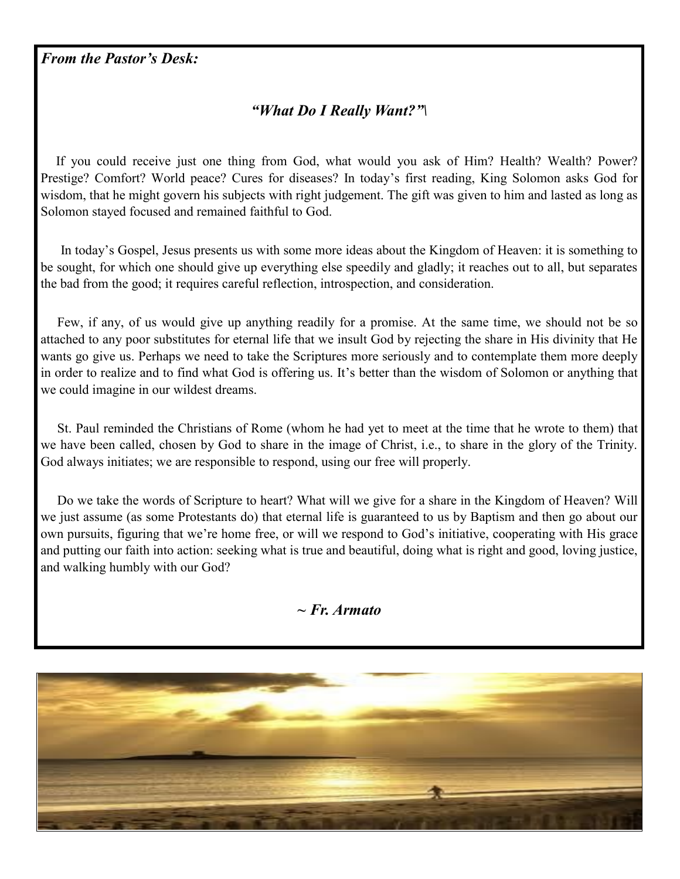#### *"What Do I Really Want?"\*

 If you could receive just one thing from God, what would you ask of Him? Health? Wealth? Power? Prestige? Comfort? World peace? Cures for diseases? In today's first reading, King Solomon asks God for wisdom, that he might govern his subjects with right judgement. The gift was given to him and lasted as long as Solomon stayed focused and remained faithful to God.

 In today's Gospel, Jesus presents us with some more ideas about the Kingdom of Heaven: it is something to be sought, for which one should give up everything else speedily and gladly; it reaches out to all, but separates the bad from the good; it requires careful reflection, introspection, and consideration.

 Few, if any, of us would give up anything readily for a promise. At the same time, we should not be so attached to any poor substitutes for eternal life that we insult God by rejecting the share in His divinity that He wants go give us. Perhaps we need to take the Scriptures more seriously and to contemplate them more deeply in order to realize and to find what God is offering us. It's better than the wisdom of Solomon or anything that we could imagine in our wildest dreams.

 St. Paul reminded the Christians of Rome (whom he had yet to meet at the time that he wrote to them) that we have been called, chosen by God to share in the image of Christ, i.e., to share in the glory of the Trinity. God always initiates; we are responsible to respond, using our free will properly.

 Do we take the words of Scripture to heart? What will we give for a share in the Kingdom of Heaven? Will we just assume (as some Protestants do) that eternal life is guaranteed to us by Baptism and then go about our own pursuits, figuring that we're home free, or will we respond to God's initiative, cooperating with His grace and putting our faith into action: seeking what is true and beautiful, doing what is right and good, loving justice, and walking humbly with our God?

#### *~ Fr. Armato*

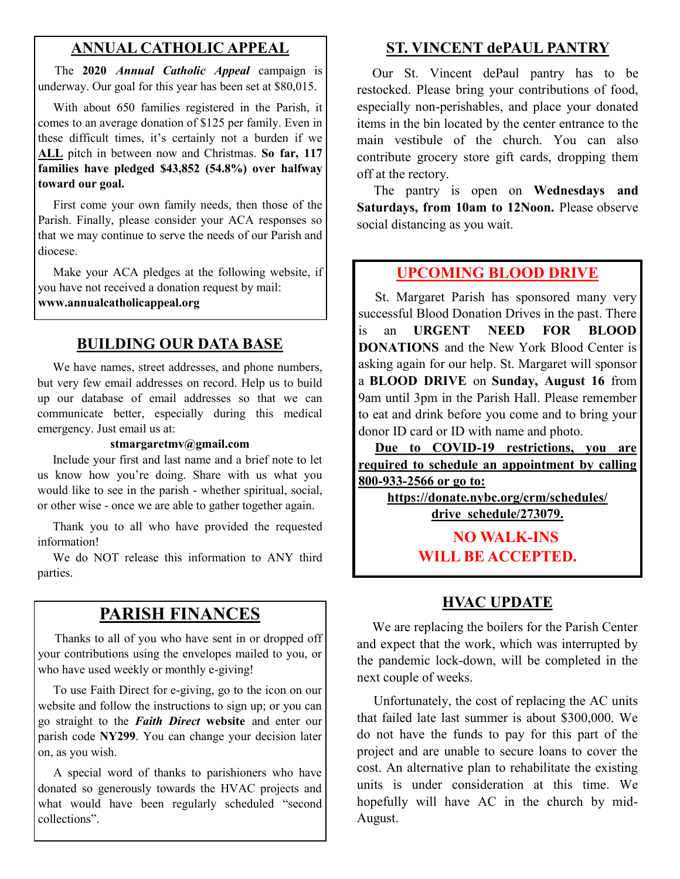#### **ANNUAL CATHOLIC APPEAL**

 The **2020** *Annual Catholic Appeal* campaign is underway. Our goal for this year has been set at \$80,015.

 With about 650 families registered in the Parish, it comes to an average donation of \$125 per family. Even in these difficult times, it's certainly not a burden if we **ALL** pitch in between now and Christmas. **So far, 117 families have pledged \$43,852 (54.8%) over halfway toward our goal.**

 First come your own family needs, then those of the Parish. Finally, please consider your ACA responses so that we may continue to serve the needs of our Parish and diocese.

 Make your ACA pledges at the following website, if you have not received a donation request by mail: **www.annualcatholicappeal.org** 

#### **BUILDING OUR DATA BASE**

 We have names, street addresses, and phone numbers, but very few email addresses on record. Help us to build up our database of email addresses so that we can communicate better, especially during this medical emergency. Just email us at:

#### **stmargaretmv@gmail.com**

 Include your first and last name and a brief note to let us know how you're doing. Share with us what you would like to see in the parish - whether spiritual, social, or other wise - once we are able to gather together again.

 Thank you to all who have provided the requested information!

 We do NOT release this information to ANY third parties.

#### **PARISH FINANCES**

 Thanks to all of you who have sent in or dropped off your contributions using the envelopes mailed to you, or who have used weekly or monthly e-giving!

 To use Faith Direct for e-giving, go to the icon on our website and follow the instructions to sign up; or you can go straight to the *Faith Direct* **website** and enter our parish code **NY299**. You can change your decision later on, as you wish.

 A special word of thanks to parishioners who have donated so generously towards the HVAC projects and what would have been regularly scheduled "second collections".

### **ST. VINCENT dePAUL PANTRY**

 Our St. Vincent dePaul pantry has to be restocked. Please bring your contributions of food, especially non-perishables, and place your donated items in the bin located by the center entrance to the main vestibule of the church. You can also contribute grocery store gift cards, dropping them off at the rectory.

 The pantry is open on **Wednesdays and Saturdays, from 10am to 12Noon.** Please observe social distancing as you wait.

#### **UPCOMING BLOOD DRIVE**

 St. Margaret Parish has sponsored many very successful Blood Donation Drives in the past. There is an **URGENT NEED FOR BLOOD DONATIONS** and the New York Blood Center is asking again for our help. St. Margaret will sponsor a **BLOOD DRIVE** on **Sunday, August 16** from 9am until 3pm in the Parish Hall. Please remember to eat and drink before you come and to bring your donor ID card or ID with name and photo.

 **Due to COVID-19 restrictions, you are required to schedule an appointment by calling 800-933-2566 or go to:**

> **https://donate.nybc.org/crm/schedules/ drive\_schedule/273079.**

> > **NO WALK-INS WILL BE ACCEPTED.**

#### **HVAC UPDATE**

 We are replacing the boilers for the Parish Center and expect that the work, which was interrupted by the pandemic lock-down, will be completed in the next couple of weeks.

 Unfortunately, the cost of replacing the AC units that failed late last summer is about \$300,000. We do not have the funds to pay for this part of the project and are unable to secure loans to cover the cost. An alternative plan to rehabilitate the existing units is under consideration at this time. We hopefully will have AC in the church by mid-August.